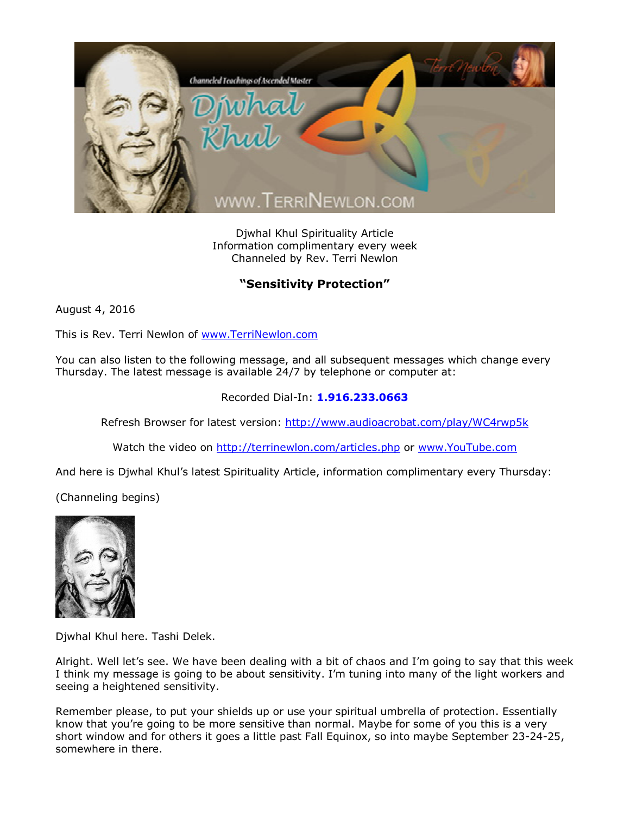

Djwhal Khul Spirituality Article Information complimentary every week Channeled by Rev. Terri Newlon

## **"Sensitivity Protection"**

August 4, 2016

This is Rev. Terri Newlon of [www.TerriNewlon.com](http://www.terrinewlon.com/)

You can also listen to the following message, and all subsequent messages which change every Thursday. The latest message is available 24/7 by telephone or computer at:

## Recorded Dial-In: **1.916.233.0663**

Refresh Browser for latest version: <http://www.audioacrobat.com/play/WC4rwp5k>

Watch the video on <http://terrinewlon.com/articles.php> or [www.YouTube.com](http://www.youtube.com/)

And here is Djwhal Khul's latest Spirituality Article, information complimentary every Thursday:

(Channeling begins)



Djwhal Khul here. Tashi Delek.

Alright. Well let's see. We have been dealing with a bit of chaos and I'm going to say that this week I think my message is going to be about sensitivity. I'm tuning into many of the light workers and seeing a heightened sensitivity.

Remember please, to put your shields up or use your spiritual umbrella of protection. Essentially know that you're going to be more sensitive than normal. Maybe for some of you this is a very short window and for others it goes a little past Fall Equinox, so into maybe September 23-24-25, somewhere in there.